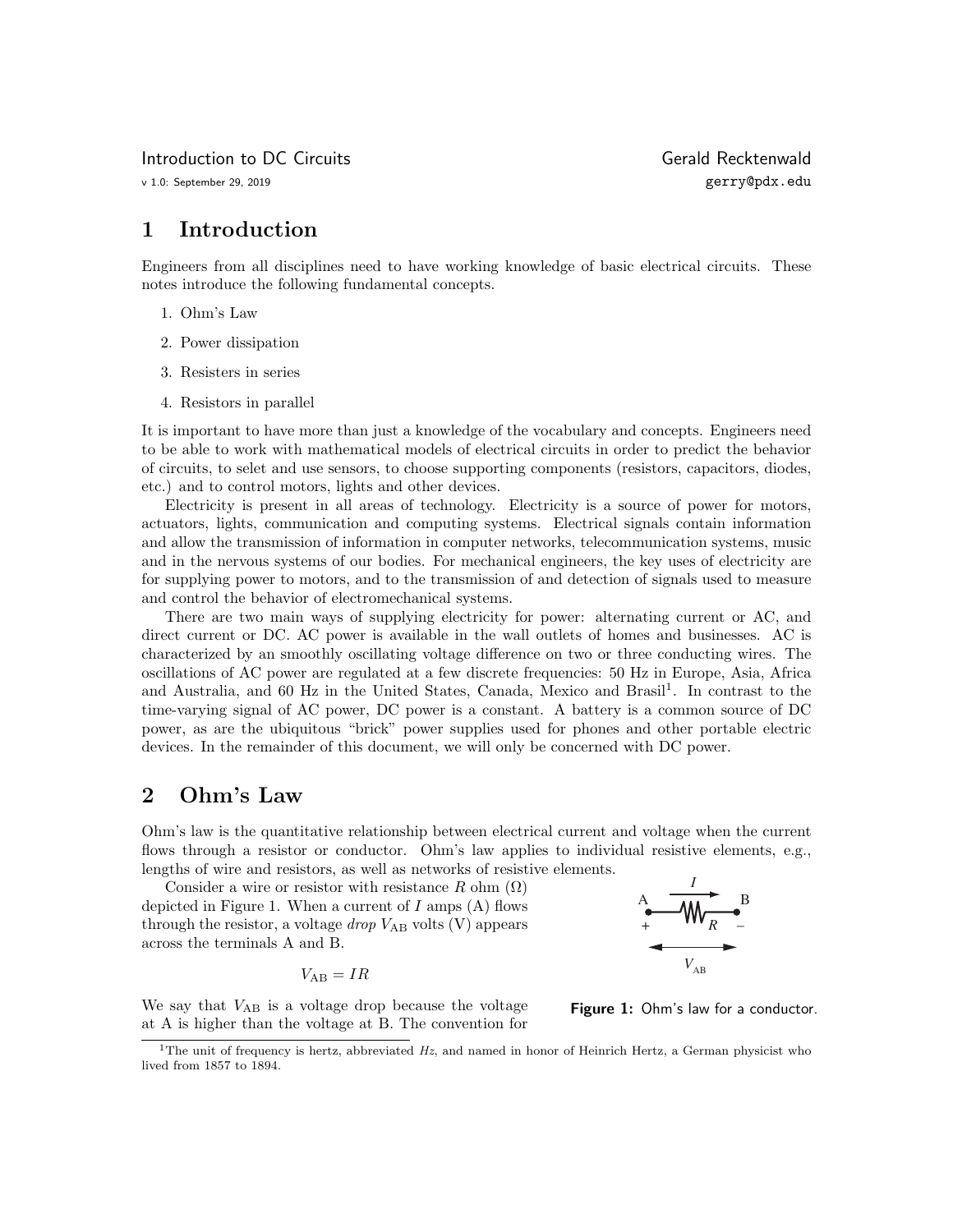Introduction to DC Circuits and The Controller of Gerald Recktenwald

# 1 Introduction

Engineers from all disciplines need to have working knowledge of basic electrical circuits. These notes introduce the following fundamental concepts.

- 1. Ohm's Law
- 2. Power dissipation
- 3. Resisters in series
- 4. Resistors in parallel

It is important to have more than just a knowledge of the vocabulary and concepts. Engineers need to be able to work with mathematical models of electrical circuits in order to predict the behavior of circuits, to selet and use sensors, to choose supporting components (resistors, capacitors, diodes, etc.) and to control motors, lights and other devices.

Electricity is present in all areas of technology. Electricity is a source of power for motors, actuators, lights, communication and computing systems. Electrical signals contain information and allow the transmission of information in computer networks, telecommunication systems, music and in the nervous systems of our bodies. For mechanical engineers, the key uses of electricity are for supplying power to motors, and to the transmission of and detection of signals used to measure and control the behavior of electromechanical systems.

There are two main ways of supplying electricity for power: alternating current or AC, and direct current or DC. AC power is available in the wall outlets of homes and businesses. AC is characterized by an smoothly oscillating voltage difference on two or three conducting wires. The oscillations of AC power are regulated at a few discrete frequencies: 50 Hz in Europe, Asia, Africa and Australia, and 60 Hz in the United States, Canada, Mexico and Brasil<sup>1</sup>. In contrast to the time-varying signal of AC power, DC power is a constant. A battery is a common source of DC power, as are the ubiquitous "brick" power supplies used for phones and other portable electric devices. In the remainder of this document, we will only be concerned with DC power.

# 2 Ohm's Law

Ohm's law is the quantitative relationship between electrical current and voltage when the current flows through a resistor or conductor. Ohm's law applies to individual resistive elements, e.g., lengths of wire and resistors, as well as networks of resistive elements.

Consider a wire or resistor with resistance R ohm  $(\Omega)$ depicted in Figure 1. When a current of  $I$  amps  $(A)$  flows through the resistor, a voltage *drop*  $V_{AB}$  volts  $(V)$  appears across the terminals A and B.

$$
V_{\rm AB} = IR
$$

We say that  $V_{AB}$  is a voltage drop because the voltage at A is higher than the voltage at B. The convention for



Figure 1: Ohm's law for a conductor.

<sup>&</sup>lt;sup>1</sup>The unit of frequency is hertz, abbreviated  $Hz$ , and named in honor of Heinrich Hertz, a German physicist who lived from 1857 to 1894.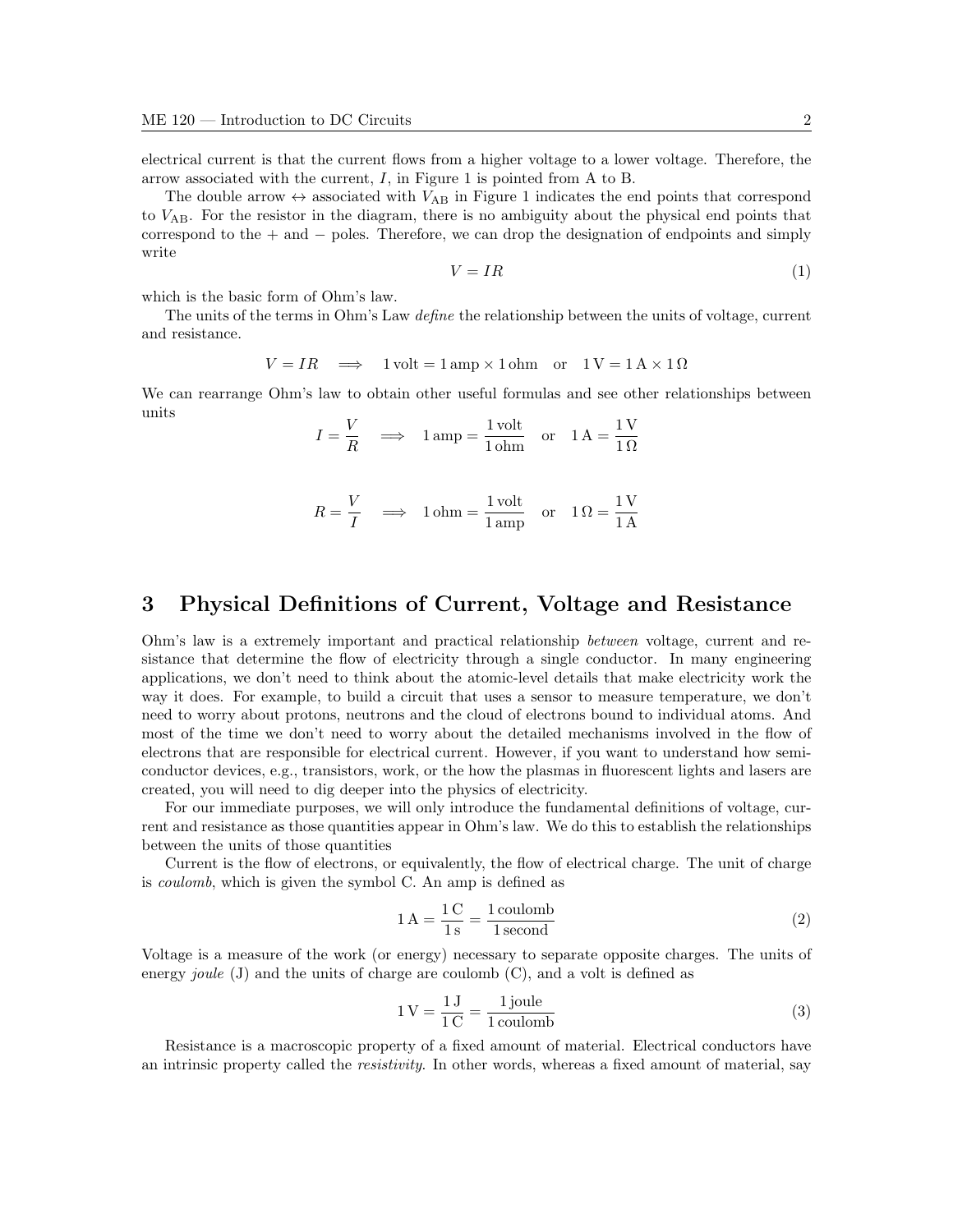electrical current is that the current flows from a higher voltage to a lower voltage. Therefore, the arrow associated with the current,  $I$ , in Figure 1 is pointed from A to B.

The double arrow  $\leftrightarrow$  associated with  $V_{AB}$  in Figure 1 indicates the end points that correspond to  $V_{AB}$ . For the resistor in the diagram, there is no ambiguity about the physical end points that correspond to the + and − poles. Therefore, we can drop the designation of endpoints and simply write

$$
V = IR \tag{1}
$$

which is the basic form of Ohm's law.

The units of the terms in Ohm's Law *define* the relationship between the units of voltage, current and resistance.

$$
V = IR \implies 1 \text{ volt} = 1 \text{ amp} \times 1 \text{ ohm} \quad \text{or} \quad 1 \text{ V} = 1 \text{ A} \times 1 \Omega
$$

We can rearrange Ohm's law to obtain other useful formulas and see other relationships between units

$$
I = \frac{V}{R} \implies 1 \text{ amp} = \frac{1 \text{ volt}}{1 \text{ ohm}} \quad \text{or} \quad 1 \text{ A} = \frac{1 \text{ V}}{1 \Omega}
$$

$$
R = \frac{V}{I} \implies 1 \text{ ohm} = \frac{1 \text{ volt}}{1 \text{ amp}} \quad \text{or} \quad 1 \Omega = \frac{1 \text{ V}}{1 \text{ A}}
$$

### 3 Physical Definitions of Current, Voltage and Resistance

Ohm's law is a extremely important and practical relationship between voltage, current and resistance that determine the flow of electricity through a single conductor. In many engineering applications, we don't need to think about the atomic-level details that make electricity work the way it does. For example, to build a circuit that uses a sensor to measure temperature, we don't need to worry about protons, neutrons and the cloud of electrons bound to individual atoms. And most of the time we don't need to worry about the detailed mechanisms involved in the flow of electrons that are responsible for electrical current. However, if you want to understand how semiconductor devices, e.g., transistors, work, or the how the plasmas in fluorescent lights and lasers are created, you will need to dig deeper into the physics of electricity.

For our immediate purposes, we will only introduce the fundamental definitions of voltage, current and resistance as those quantities appear in Ohm's law. We do this to establish the relationships between the units of those quantities

Current is the flow of electrons, or equivalently, the flow of electrical charge. The unit of charge is coulomb, which is given the symbol C. An amp is defined as

$$
1\,\text{A} = \frac{1\,\text{C}}{1\,\text{s}} = \frac{1\,\text{coulomb}}{1\,\text{second}}\tag{2}
$$

Voltage is a measure of the work (or energy) necessary to separate opposite charges. The units of energy *joule* (J) and the units of charge are coulomb  $(C)$ , and a volt is defined as

$$
1 V = \frac{1 J}{1 C} = \frac{1 \text{ joule}}{1 \text{ coulomb}}
$$
 (3)

Resistance is a macroscopic property of a fixed amount of material. Electrical conductors have an intrinsic property called the resistivity. In other words, whereas a fixed amount of material, say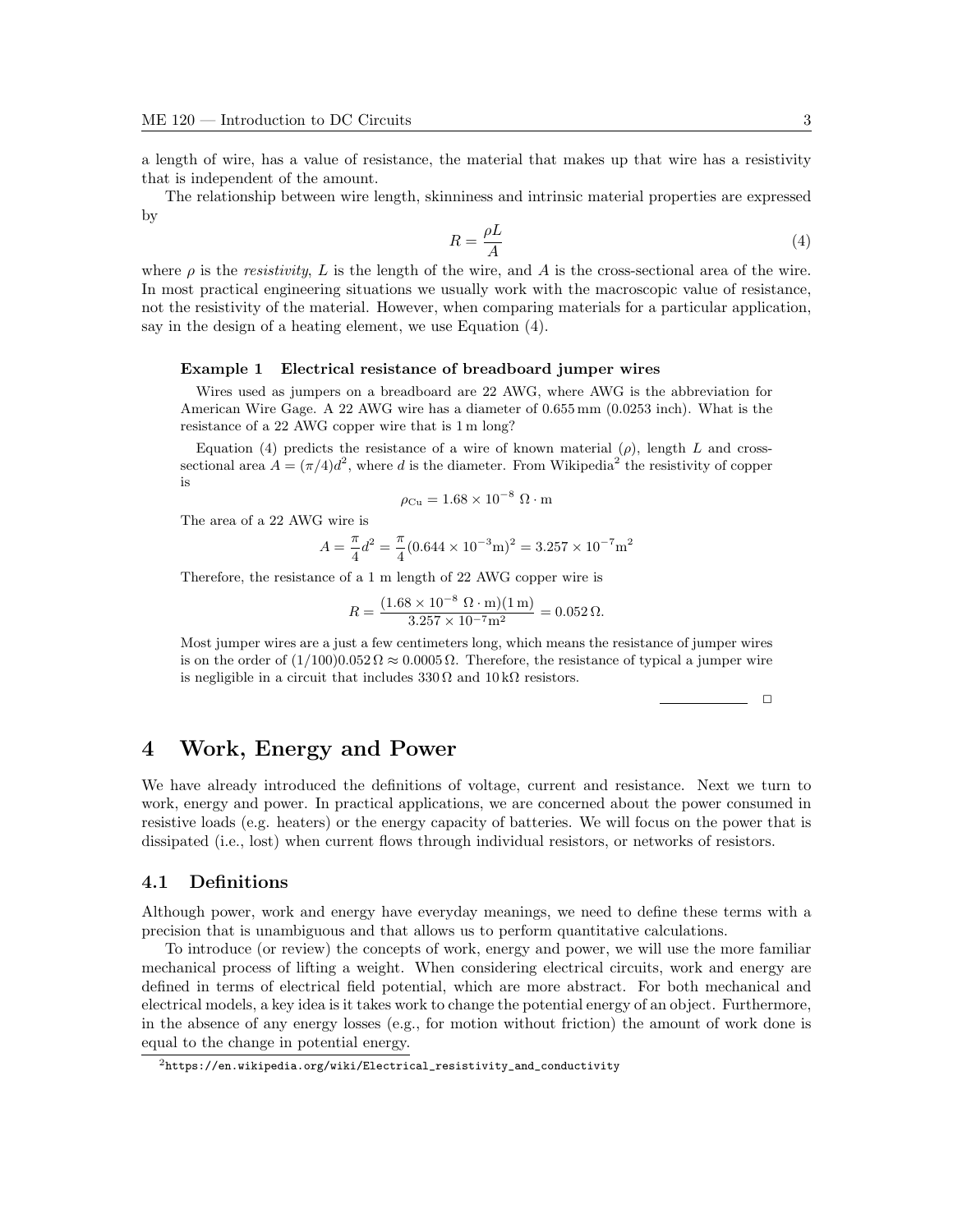a length of wire, has a value of resistance, the material that makes up that wire has a resistivity that is independent of the amount.

The relationship between wire length, skinniness and intrinsic material properties are expressed by

$$
R = \frac{\rho L}{A} \tag{4}
$$

where  $\rho$  is the resistivity, L is the length of the wire, and A is the cross-sectional area of the wire. In most practical engineering situations we usually work with the macroscopic value of resistance, not the resistivity of the material. However, when comparing materials for a particular application, say in the design of a heating element, we use Equation (4).

#### Example 1 Electrical resistance of breadboard jumper wires

Wires used as jumpers on a breadboard are 22 AWG, where AWG is the abbreviation for American Wire Gage. A 22 AWG wire has a diameter of 0.655 mm (0.0253 inch). What is the resistance of a 22 AWG copper wire that is 1 m long?

Equation (4) predicts the resistance of a wire of known material  $(\rho)$ , length L and crosssectional area  $A = (\pi/4)d^2$ , where d is the diameter. From Wikipedia<sup>2</sup> the resistivity of copper is

$$
\rho_{\rm Cu} = 1.68 \times 10^{-8} \, \Omega \cdot m
$$

The area of a 22 AWG wire is

$$
A = \frac{\pi}{4}d^2 = \frac{\pi}{4}(0.644 \times 10^{-3} \text{m})^2 = 3.257 \times 10^{-7} \text{m}^2
$$

Therefore, the resistance of a 1 m length of 22 AWG copper wire is

$$
R = \frac{(1.68 \times 10^{-8} \, \Omega \cdot \text{m})(1 \, \text{m})}{3.257 \times 10^{-7} \text{m}^2} = 0.052 \, \Omega.
$$

Most jumper wires are a just a few centimeters long, which means the resistance of jumper wires is on the order of  $(1/100)0.052 \Omega \approx 0.0005 \Omega$ . Therefore, the resistance of typical a jumper wire is negligible in a circuit that includes  $330 \Omega$  and  $10 \text{ k}\Omega$  resistors.

 $\Box$ 

### 4 Work, Energy and Power

We have already introduced the definitions of voltage, current and resistance. Next we turn to work, energy and power. In practical applications, we are concerned about the power consumed in resistive loads (e.g. heaters) or the energy capacity of batteries. We will focus on the power that is dissipated (i.e., lost) when current flows through individual resistors, or networks of resistors.

#### 4.1 Definitions

Although power, work and energy have everyday meanings, we need to define these terms with a precision that is unambiguous and that allows us to perform quantitative calculations.

To introduce (or review) the concepts of work, energy and power, we will use the more familiar mechanical process of lifting a weight. When considering electrical circuits, work and energy are defined in terms of electrical field potential, which are more abstract. For both mechanical and electrical models, a key idea is it takes work to change the potential energy of an object. Furthermore, in the absence of any energy losses (e.g., for motion without friction) the amount of work done is equal to the change in potential energy.

 $^2$ https://en.wikipedia.org/wiki/Electrical\_resistivity\_and\_conductivity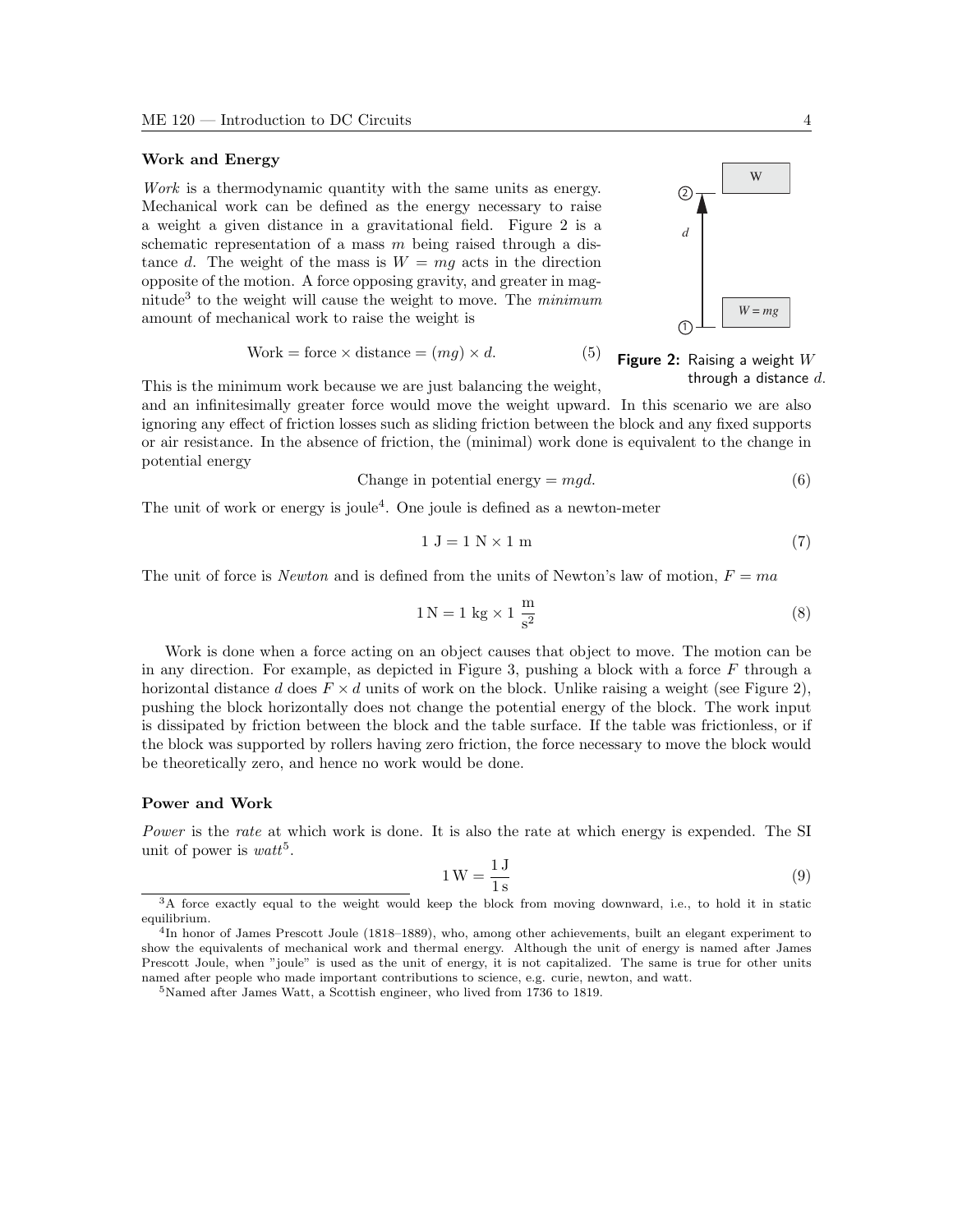#### Work and Energy

Work is a thermodynamic quantity with the same units as energy. Mechanical work can be defined as the energy necessary to raise a weight a given distance in a gravitational field. Figure 2 is a schematic representation of a mass  $m$  being raised through a distance d. The weight of the mass is  $W = mg$  acts in the direction opposite of the motion. A force opposing gravity, and greater in magnitude<sup>3</sup> to the weight will cause the weight to move. The  $minimum$ amount of mechanical work to raise the weight is

$$
Work = force \times distance = (mg) \times d.
$$
 (5)

This is the minimum work because we are just balancing the weight,

and an infinitesimally greater force would move the weight upward. In this scenario we are also ignoring any effect of friction losses such as sliding friction between the block and any fixed supports or air resistance. In the absence of friction, the (minimal) work done is equivalent to the change in potential energy

Change in potential energy = 
$$
mgd
$$
. (6)

The unit of work or energy is joule<sup>4</sup>. One joule is defined as a newton-meter

$$
1 J = 1 N \times 1 m \tag{7}
$$

The unit of force is *Newton* and is defined from the units of Newton's law of motion,  $F = ma$ 

$$
1 N = 1 kg \times 1 \frac{m}{s^2}
$$
 (8)

Work is done when a force acting on an object causes that object to move. The motion can be in any direction. For example, as depicted in Figure 3, pushing a block with a force  $F$  through a horizontal distance d does  $F \times d$  units of work on the block. Unlike raising a weight (see Figure 2), pushing the block horizontally does not change the potential energy of the block. The work input is dissipated by friction between the block and the table surface. If the table was frictionless, or if the block was supported by rollers having zero friction, the force necessary to move the block would be theoretically zero, and hence no work would be done.

#### Power and Work

Power is the rate at which work is done. It is also the rate at which energy is expended. The SI unit of power is  $watt^5$ .

$$
1 \,\mathrm{W} = \frac{1 \,\mathrm{J}}{1 \,\mathrm{s}}\tag{9}
$$





<sup>&</sup>lt;sup>3</sup>A force exactly equal to the weight would keep the block from moving downward, i.e., to hold it in static equilibrium.

<sup>&</sup>lt;sup>4</sup>In honor of James Prescott Joule (1818–1889), who, among other achievements, built an elegant experiment to show the equivalents of mechanical work and thermal energy. Although the unit of energy is named after James Prescott Joule, when "joule" is used as the unit of energy, it is not capitalized. The same is true for other units named after people who made important contributions to science, e.g. curie, newton, and watt.

<sup>5</sup>Named after James Watt, a Scottish engineer, who lived from 1736 to 1819.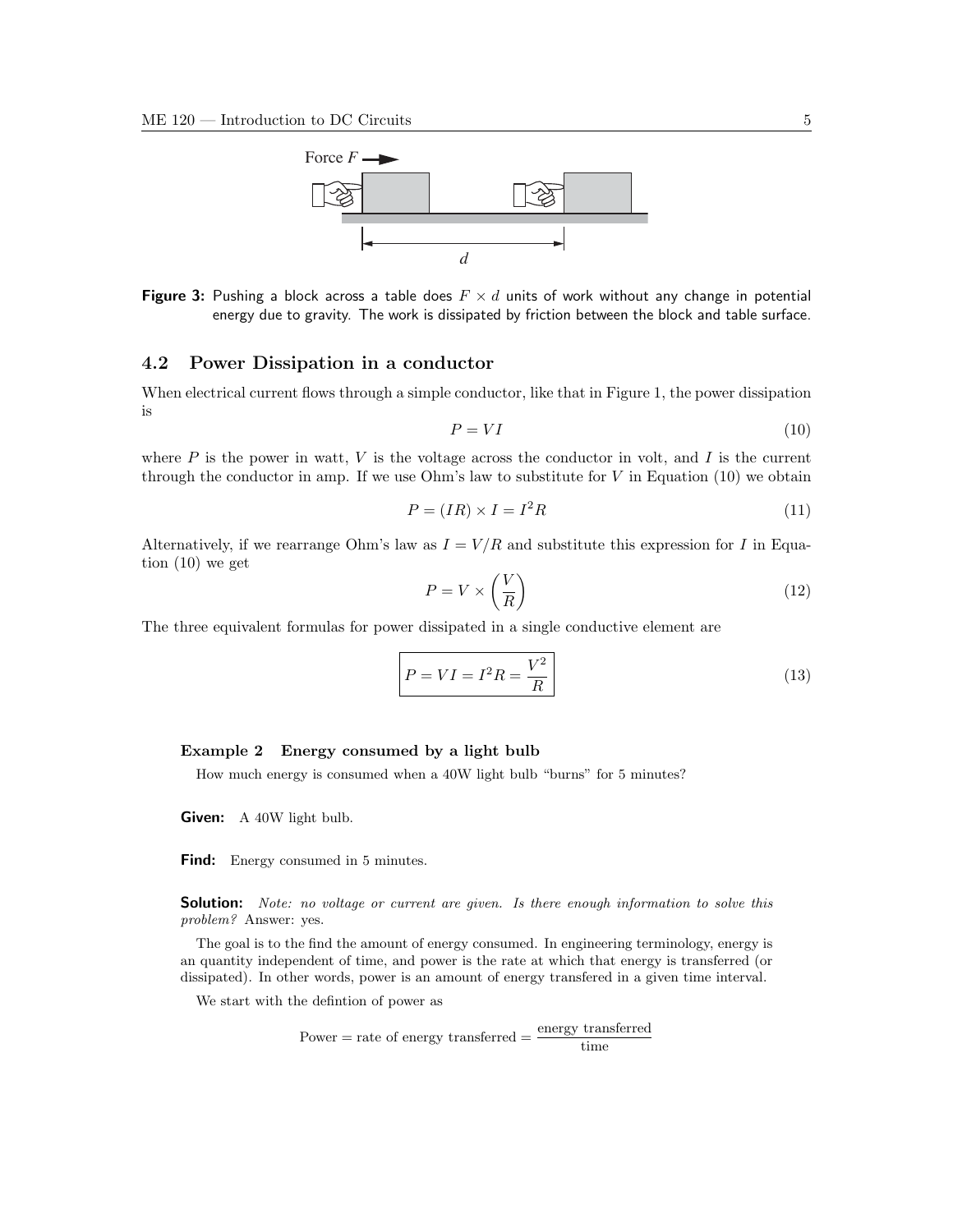

**Figure 3:** Pushing a block across a table does  $F \times d$  units of work without any change in potential energy due to gravity. The work is dissipated by friction between the block and table surface.

#### 4.2 Power Dissipation in a conductor

When electrical current flows through a simple conductor, like that in Figure 1, the power dissipation is

$$
P = VI \tag{10}
$$

where  $P$  is the power in watt,  $V$  is the voltage across the conductor in volt, and  $I$  is the current through the conductor in amp. If we use Ohm's law to substitute for  $V$  in Equation (10) we obtain

$$
P = (IR) \times I = I^2 R \tag{11}
$$

Alternatively, if we rearrange Ohm's law as  $I = V/R$  and substitute this expression for I in Equation (10) we get

$$
P = V \times \left(\frac{V}{R}\right) \tag{12}
$$

The three equivalent formulas for power dissipated in a single conductive element are

$$
P = VI = I^2 R = \frac{V^2}{R}
$$
\n<sup>(13)</sup>

#### Example 2 Energy consumed by a light bulb

How much energy is consumed when a 40W light bulb "burns" for 5 minutes?

**Given:** A 40W light bulb.

Find: Energy consumed in 5 minutes.

**Solution:** Note: no voltage or current are given. Is there enough information to solve this problem? Answer: yes.

The goal is to the find the amount of energy consumed. In engineering terminology, energy is an quantity independent of time, and power is the rate at which that energy is transferred (or dissipated). In other words, power is an amount of energy transfered in a given time interval.

We start with the defintion of power as

$$
Power = rate of energy transferred = \frac{energy\ transferred}{time}
$$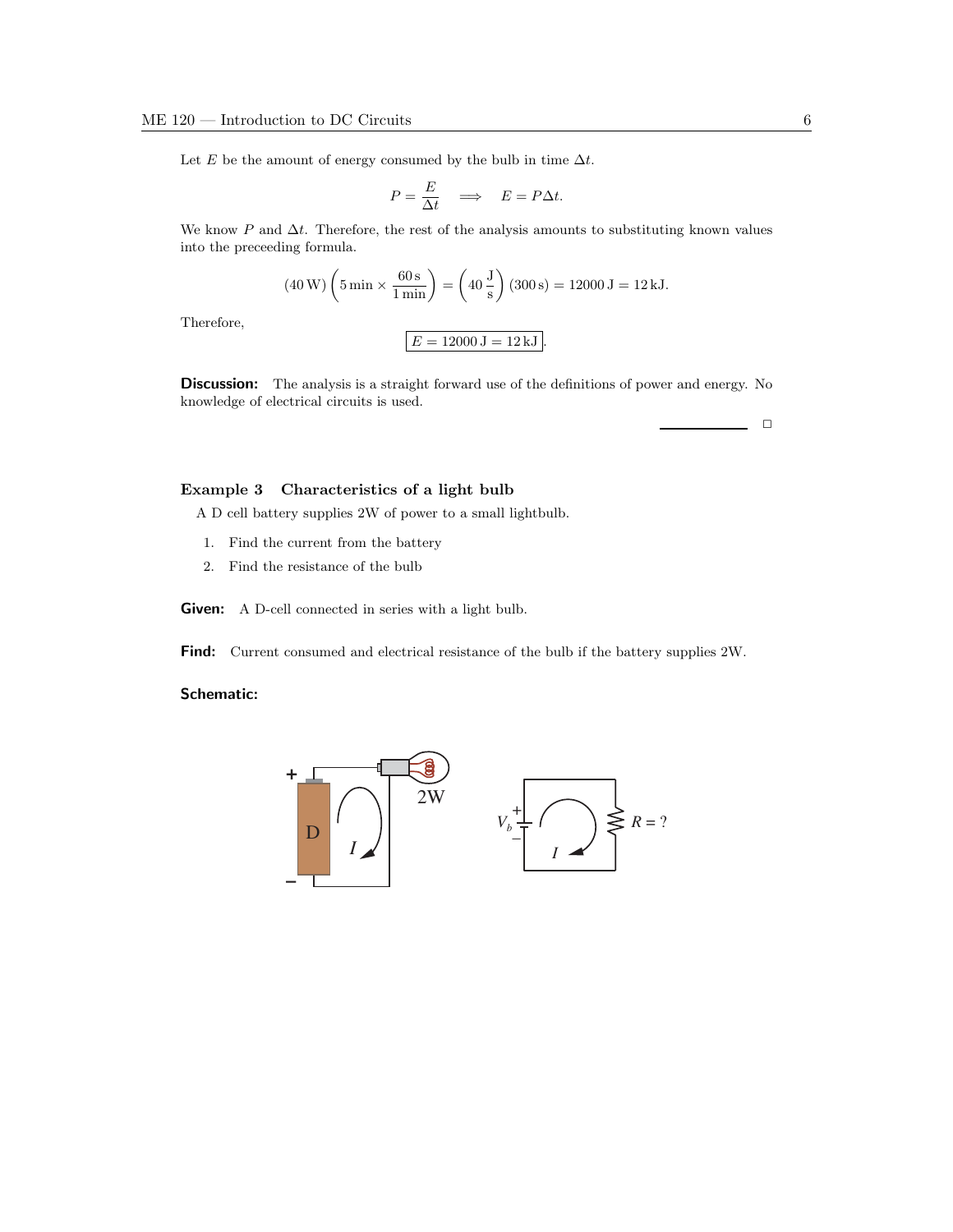Let E be the amount of energy consumed by the bulb in time  $\Delta t$ .

$$
P = \frac{E}{\Delta t} \quad \Longrightarrow \quad E = P \Delta t.
$$

We know P and  $\Delta t$ . Therefore, the rest of the analysis amounts to substituting known values into the preceeding formula.

$$
(40 \text{ W}) \left( 5 \text{ min} \times \frac{60 \text{ s}}{1 \text{ min}} \right) = \left( 40 \frac{\text{J}}{\text{s}} \right) (300 \text{ s}) = 12000 \text{ J} = 12 \text{ kJ}.
$$

Therefore,

**Discussion:** The analysis is a straight forward use of the definitions of power and energy. No knowledge of electrical circuits is used.

 $E = 12000 \, \mathrm{J} = 12 \, \mathrm{kJ}$ 

#### Example 3 Characteristics of a light bulb

A D cell battery supplies 2W of power to a small lightbulb.

- 1. Find the current from the battery
- 2. Find the resistance of the bulb

Given: A D-cell connected in series with a light bulb.

Find: Current consumed and electrical resistance of the bulb if the battery supplies 2W.

#### Schematic:



 $\Box$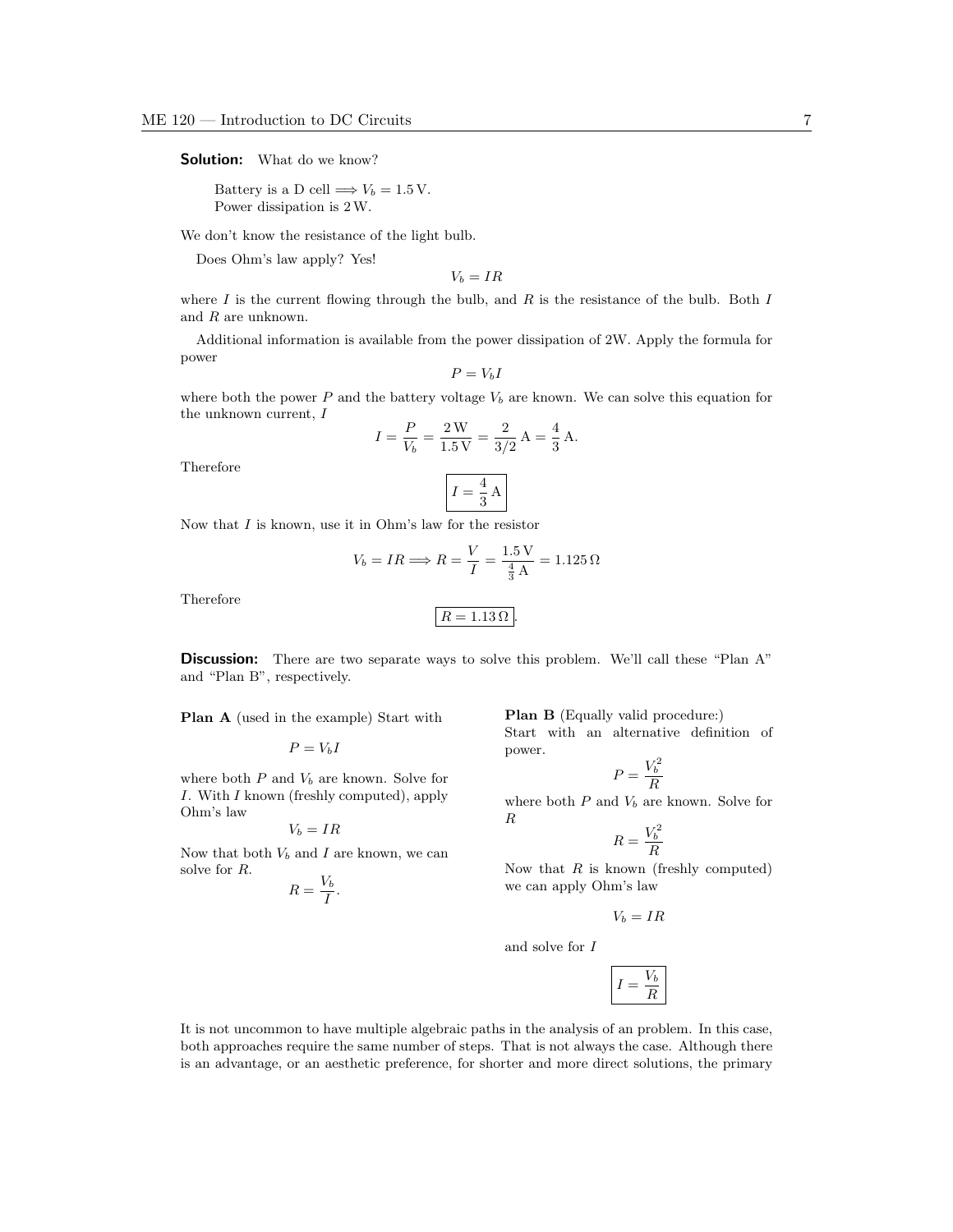**Solution:** What do we know?

Battery is a D cell  $\Longrightarrow V_b = 1.5 \text{ V}.$ Power dissipation is 2W.

We don't know the resistance of the light bulb.

Does Ohm's law apply? Yes!

 $V_b = IR$ 

where  $I$  is the current flowing through the bulb, and  $R$  is the resistance of the bulb. Both  $I$ and R are unknown.

Additional information is available from the power dissipation of 2W. Apply the formula for power

$$
P=V_bI
$$

where both the power P and the battery voltage  $V_b$  are known. We can solve this equation for the unknown current, I  $2.22$ 

$$
I = \frac{P}{V_b} = \frac{2 \text{ W}}{1.5 \text{ V}} = \frac{2}{3/2} \text{ A} = \frac{4}{3} \text{ A}.
$$

Therefore

$$
I = \frac{4}{3} \text{ A}
$$

Now that  $I$  is known, use it in Ohm's law for the resistor

$$
V_b = IR \Longrightarrow R = \frac{V}{I} = \frac{1.5 \,\mathrm{V}}{\frac{4}{3} \,\mathrm{A}} = 1.125 \,\Omega
$$

Therefore

Ohm's law

solve for R.

$$
R=1.13\,\Omega
$$

**Discussion:** There are two separate ways to solve this problem. We'll call these "Plan A" and "Plan B", respectively.

Plan A (used in the example) Start with

$$
\label{eq:1} P=V_bI
$$
 where both  $P$  and  
  $V_b$  are known. Solve for

I. With I known (freshly computed), apply

 $V_b = IR$ Now that both  $V_b$  and I are known, we can

> $R=\frac{V_b}{I}$  $\frac{r}{I}$ .

Plan B (Equally valid procedure:)

Start with an alternative definition of power.

$$
P = \frac{V_b^2}{R}
$$

where both  $P$  and  $V_b$  are known. Solve for R  $\overline{2}$ 

$$
R = \frac{V_b^2}{R}
$$

Now that  $R$  is known (freshly computed) we can apply Ohm's law

$$
V_b = IR
$$

and solve for I

$$
\boxed{I=\frac{V_b}{R}}
$$

It is not uncommon to have multiple algebraic paths in the analysis of an problem. In this case, both approaches require the same number of steps. That is not always the case. Although there is an advantage, or an aesthetic preference, for shorter and more direct solutions, the primary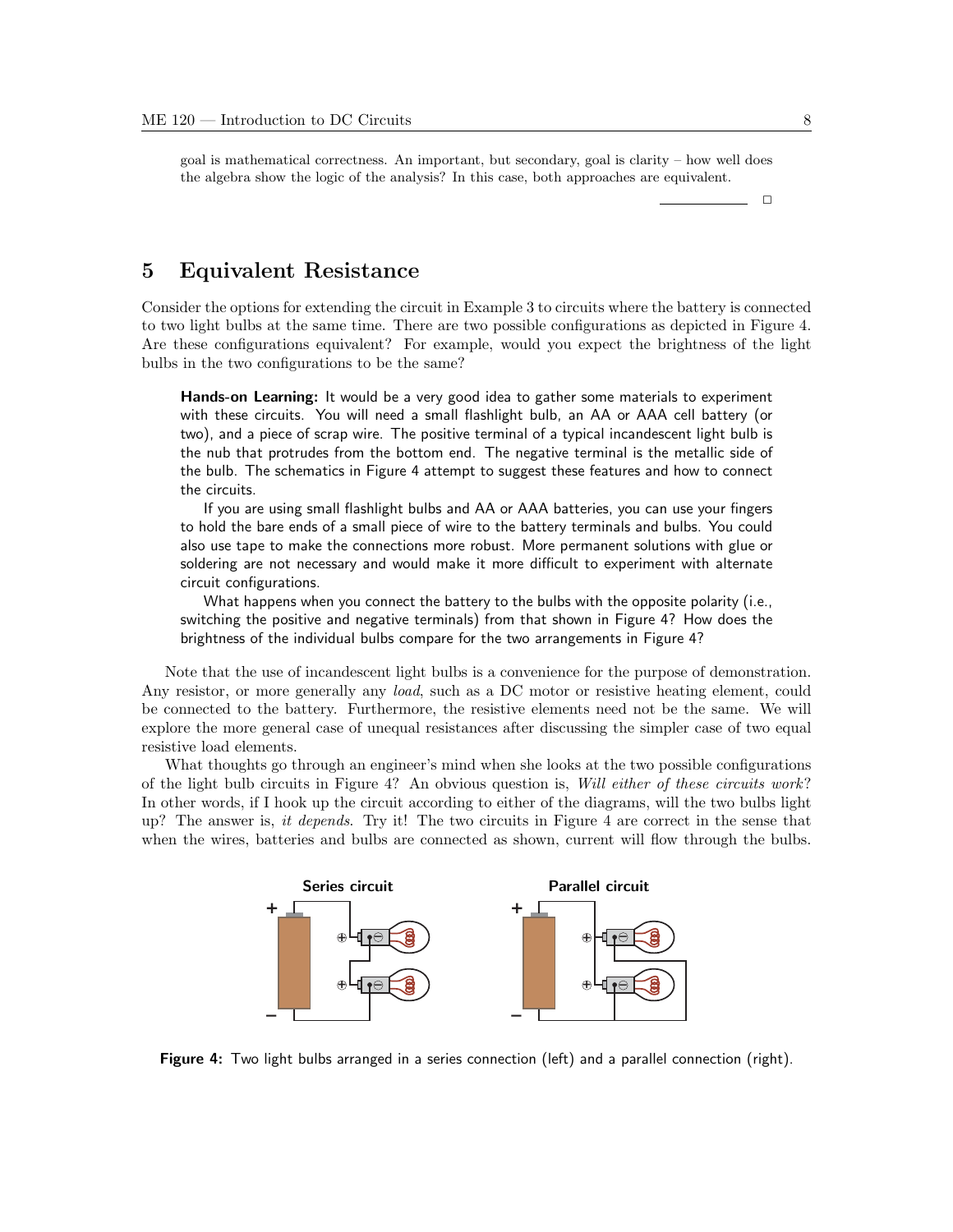goal is mathematical correctness. An important, but secondary, goal is clarity – how well does the algebra show the logic of the analysis? In this case, both approaches are equivalent.

 $\Box$ 

## 5 Equivalent Resistance

Consider the options for extending the circuit in Example 3 to circuits where the battery is connected to two light bulbs at the same time. There are two possible configurations as depicted in Figure 4. Are these configurations equivalent? For example, would you expect the brightness of the light bulbs in the two configurations to be the same?

Hands-on Learning: It would be a very good idea to gather some materials to experiment with these circuits. You will need a small flashlight bulb, an AA or AAA cell battery (or two), and a piece of scrap wire. The positive terminal of a typical incandescent light bulb is the nub that protrudes from the bottom end. The negative terminal is the metallic side of the bulb. The schematics in Figure 4 attempt to suggest these features and how to connect the circuits.

If you are using small flashlight bulbs and AA or AAA batteries, you can use your fingers to hold the bare ends of a small piece of wire to the battery terminals and bulbs. You could also use tape to make the connections more robust. More permanent solutions with glue or soldering are not necessary and would make it more difficult to experiment with alternate circuit configurations.

What happens when you connect the battery to the bulbs with the opposite polarity (i.e., switching the positive and negative terminals) from that shown in Figure 4? How does the brightness of the individual bulbs compare for the two arrangements in Figure 4?

Note that the use of incandescent light bulbs is a convenience for the purpose of demonstration. Any resistor, or more generally any *load*, such as a DC motor or resistive heating element, could be connected to the battery. Furthermore, the resistive elements need not be the same. We will explore the more general case of unequal resistances after discussing the simpler case of two equal resistive load elements.

What thoughts go through an engineer's mind when she looks at the two possible configurations of the light bulb circuits in Figure 4? An obvious question is, Will either of these circuits work ? In other words, if I hook up the circuit according to either of the diagrams, will the two bulbs light up? The answer is, it depends. Try it! The two circuits in Figure 4 are correct in the sense that when the wires, batteries and bulbs are connected as shown, current will flow through the bulbs.



Figure 4: Two light bulbs arranged in a series connection (left) and a parallel connection (right).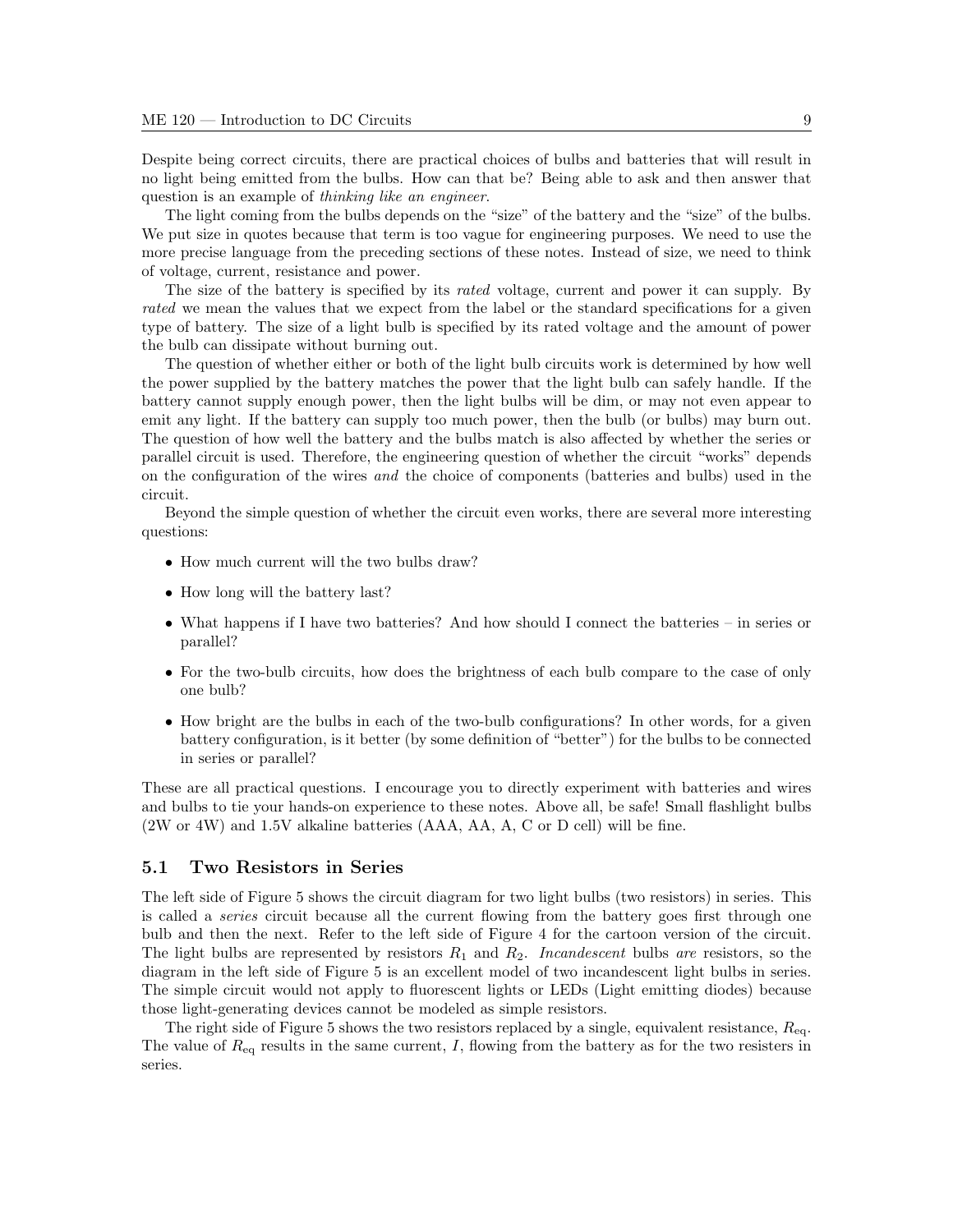Despite being correct circuits, there are practical choices of bulbs and batteries that will result in no light being emitted from the bulbs. How can that be? Being able to ask and then answer that question is an example of thinking like an engineer.

The light coming from the bulbs depends on the "size" of the battery and the "size" of the bulbs. We put size in quotes because that term is too vague for engineering purposes. We need to use the more precise language from the preceding sections of these notes. Instead of size, we need to think of voltage, current, resistance and power.

The size of the battery is specified by its *rated* voltage, current and power it can supply. By rated we mean the values that we expect from the label or the standard specifications for a given type of battery. The size of a light bulb is specified by its rated voltage and the amount of power the bulb can dissipate without burning out.

The question of whether either or both of the light bulb circuits work is determined by how well the power supplied by the battery matches the power that the light bulb can safely handle. If the battery cannot supply enough power, then the light bulbs will be dim, or may not even appear to emit any light. If the battery can supply too much power, then the bulb (or bulbs) may burn out. The question of how well the battery and the bulbs match is also affected by whether the series or parallel circuit is used. Therefore, the engineering question of whether the circuit "works" depends on the configuration of the wires and the choice of components (batteries and bulbs) used in the circuit.

Beyond the simple question of whether the circuit even works, there are several more interesting questions:

- How much current will the two bulbs draw?
- How long will the battery last?
- What happens if I have two batteries? And how should I connect the batteries in series or parallel?
- For the two-bulb circuits, how does the brightness of each bulb compare to the case of only one bulb?
- How bright are the bulbs in each of the two-bulb configurations? In other words, for a given battery configuration, is it better (by some definition of "better") for the bulbs to be connected in series or parallel?

These are all practical questions. I encourage you to directly experiment with batteries and wires and bulbs to tie your hands-on experience to these notes. Above all, be safe! Small flashlight bulbs (2W or 4W) and 1.5V alkaline batteries (AAA, AA, A, C or D cell) will be fine.

### 5.1 Two Resistors in Series

The left side of Figure 5 shows the circuit diagram for two light bulbs (two resistors) in series. This is called a series circuit because all the current flowing from the battery goes first through one bulb and then the next. Refer to the left side of Figure 4 for the cartoon version of the circuit. The light bulbs are represented by resistors  $R_1$  and  $R_2$ . Incandescent bulbs are resistors, so the diagram in the left side of Figure 5 is an excellent model of two incandescent light bulbs in series. The simple circuit would not apply to fluorescent lights or LEDs (Light emitting diodes) because those light-generating devices cannot be modeled as simple resistors.

The right side of Figure 5 shows the two resistors replaced by a single, equivalent resistance,  $R_{eq}$ . The value of  $R_{eq}$  results in the same current, I, flowing from the battery as for the two resisters in series.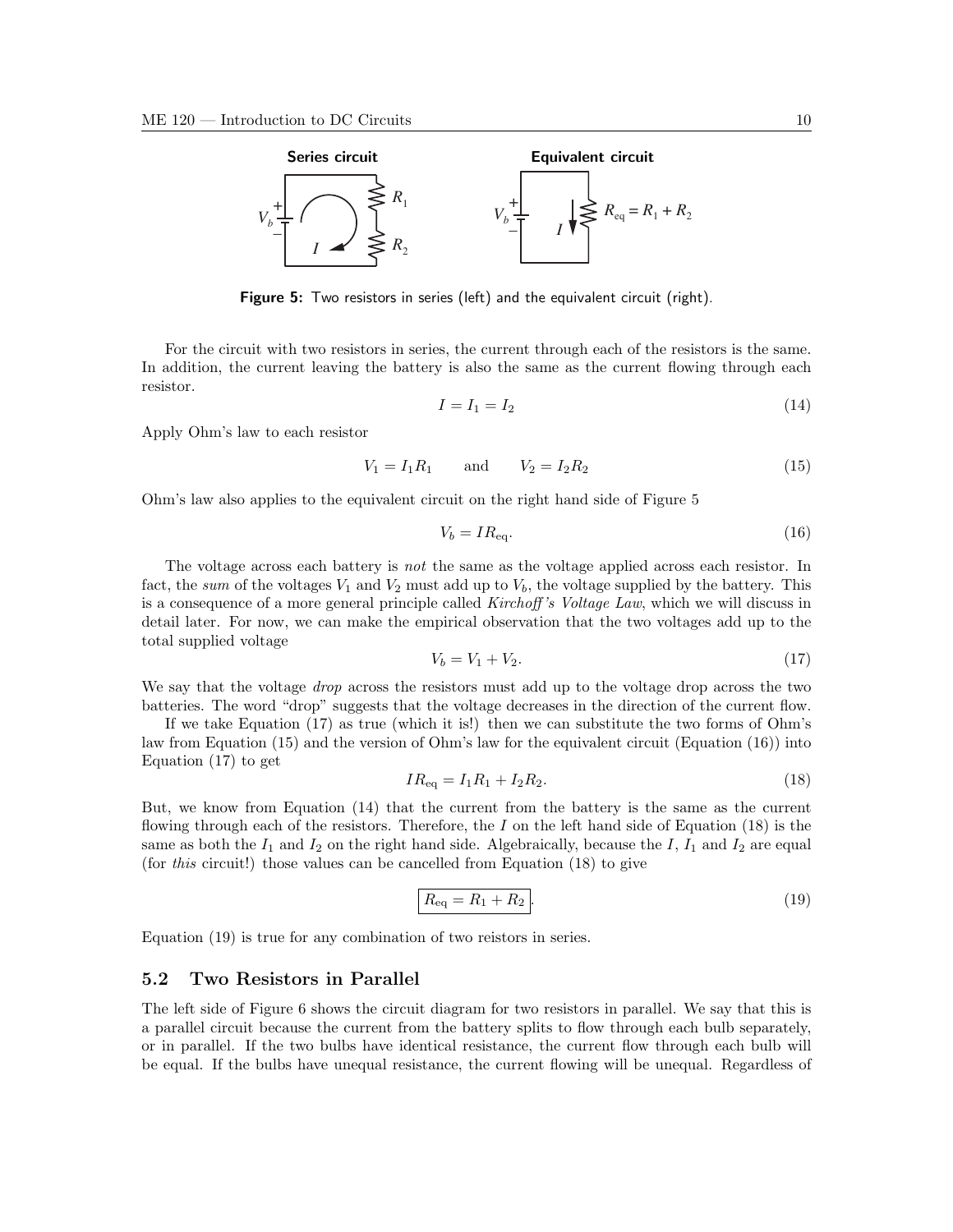

Figure 5: Two resistors in series (left) and the equivalent circuit (right).

For the circuit with two resistors in series, the current through each of the resistors is the same. In addition, the current leaving the battery is also the same as the current flowing through each resistor.

$$
I = I_1 = I_2 \tag{14}
$$

Apply Ohm's law to each resistor

$$
V_1 = I_1 R_1 \qquad \text{and} \qquad V_2 = I_2 R_2 \tag{15}
$$

Ohm's law also applies to the equivalent circuit on the right hand side of Figure 5

$$
V_b = IR_{\text{eq}}.\tag{16}
$$

The voltage across each battery is not the same as the voltage applied across each resistor. In fact, the sum of the voltages  $V_1$  and  $V_2$  must add up to  $V_b$ , the voltage supplied by the battery. This is a consequence of a more general principle called Kirchoff 's Voltage Law, which we will discuss in detail later. For now, we can make the empirical observation that the two voltages add up to the total supplied voltage

$$
V_b = V_1 + V_2. \t\t(17)
$$

We say that the voltage *drop* across the resistors must add up to the voltage drop across the two batteries. The word "drop" suggests that the voltage decreases in the direction of the current flow.

If we take Equation (17) as true (which it is!) then we can substitute the two forms of Ohm's law from Equation (15) and the version of Ohm's law for the equivalent circuit (Equation (16)) into Equation (17) to get

$$
IR_{\text{eq}} = I_1 R_1 + I_2 R_2. \tag{18}
$$

But, we know from Equation (14) that the current from the battery is the same as the current flowing through each of the resistors. Therefore, the I on the left hand side of Equation  $(18)$  is the same as both the  $I_1$  and  $I_2$  on the right hand side. Algebraically, because the I,  $I_1$  and  $I_2$  are equal (for this circuit!) those values can be cancelled from Equation (18) to give

$$
R_{\text{eq}} = R_1 + R_2. \tag{19}
$$

Equation (19) is true for any combination of two reistors in series.

### 5.2 Two Resistors in Parallel

The left side of Figure 6 shows the circuit diagram for two resistors in parallel. We say that this is a parallel circuit because the current from the battery splits to flow through each bulb separately, or in parallel. If the two bulbs have identical resistance, the current flow through each bulb will be equal. If the bulbs have unequal resistance, the current flowing will be unequal. Regardless of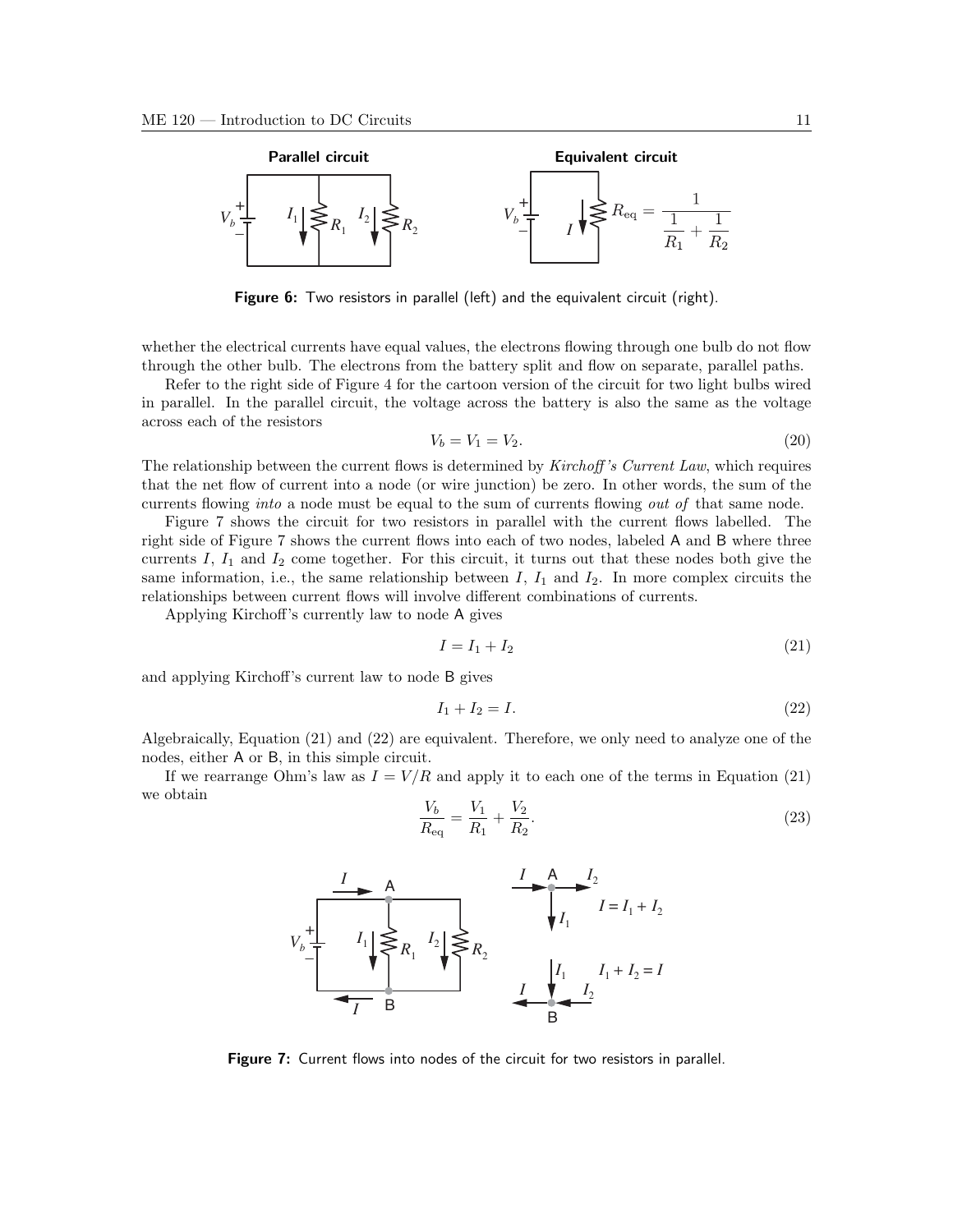

Figure 6: Two resistors in parallel (left) and the equivalent circuit (right).

whether the electrical currents have equal values, the electrons flowing through one bulb do not flow through the other bulb. The electrons from the battery split and flow on separate, parallel paths.

Refer to the right side of Figure 4 for the cartoon version of the circuit for two light bulbs wired in parallel. In the parallel circuit, the voltage across the battery is also the same as the voltage across each of the resistors

$$
V_b = V_1 = V_2. \t\t(20)
$$

The relationship between the current flows is determined by Kirchoff's Current Law, which requires that the net flow of current into a node (or wire junction) be zero. In other words, the sum of the currents flowing into a node must be equal to the sum of currents flowing out of that same node.

Figure 7 shows the circuit for two resistors in parallel with the current flows labelled. The right side of Figure 7 shows the current flows into each of two nodes, labeled A and B where three currents I,  $I_1$  and  $I_2$  come together. For this circuit, it turns out that these nodes both give the same information, i.e., the same relationship between  $I$ ,  $I_1$  and  $I_2$ . In more complex circuits the relationships between current flows will involve different combinations of currents.

Applying Kirchoff's currently law to node A gives

$$
I = I_1 + I_2 \tag{21}
$$

and applying Kirchoff's current law to node B gives

$$
I_1 + I_2 = I. \tag{22}
$$

Algebraically, Equation (21) and (22) are equivalent. Therefore, we only need to analyze one of the nodes, either A or B, in this simple circuit.

If we rearrange Ohm's law as  $I = V/R$  and apply it to each one of the terms in Equation (21) we obtain

$$
\frac{V_b}{R_{\text{eq}}} = \frac{V_1}{R_1} + \frac{V_2}{R_2}.\tag{23}
$$



Figure 7: Current flows into nodes of the circuit for two resistors in parallel.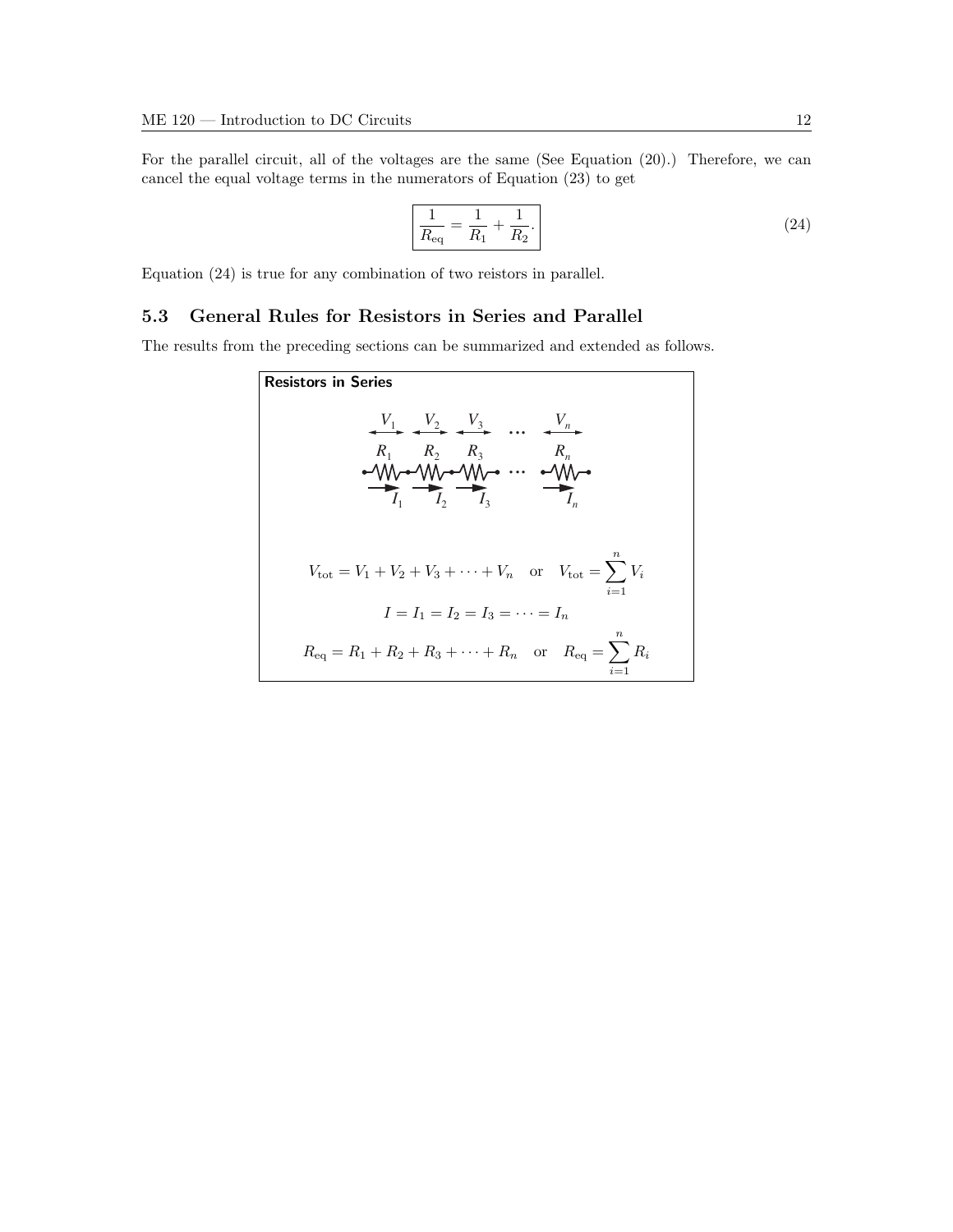For the parallel circuit, all of the voltages are the same (See Equation (20).) Therefore, we can cancel the equal voltage terms in the numerators of Equation (23) to get

$$
\frac{1}{R_{\text{eq}}} = \frac{1}{R_1} + \frac{1}{R_2}.\tag{24}
$$

Equation (24) is true for any combination of two reistors in parallel.

### 5.3 General Rules for Resistors in Series and Parallel

The results from the preceding sections can be summarized and extended as follows.

Resistors in Series *V*1 *R*1 *I*1 *R*<sup>2</sup> *R*<sup>3</sup> *Rn I*<sup>2</sup> *I*<sup>3</sup> *In V*<sup>2</sup> *V*<sup>3</sup> *Vn ... ...* Vtot = V<sup>1</sup> + V<sup>2</sup> + V<sup>3</sup> + · · · + V<sup>n</sup> or Vtot = Xn i=1 Vi I = I<sup>1</sup> = I<sup>2</sup> = I<sup>3</sup> = · · · = I<sup>n</sup> Req = R<sup>1</sup> + R<sup>2</sup> + R<sup>3</sup> + · · · + R<sup>n</sup> or Req = Xn i=1 Ri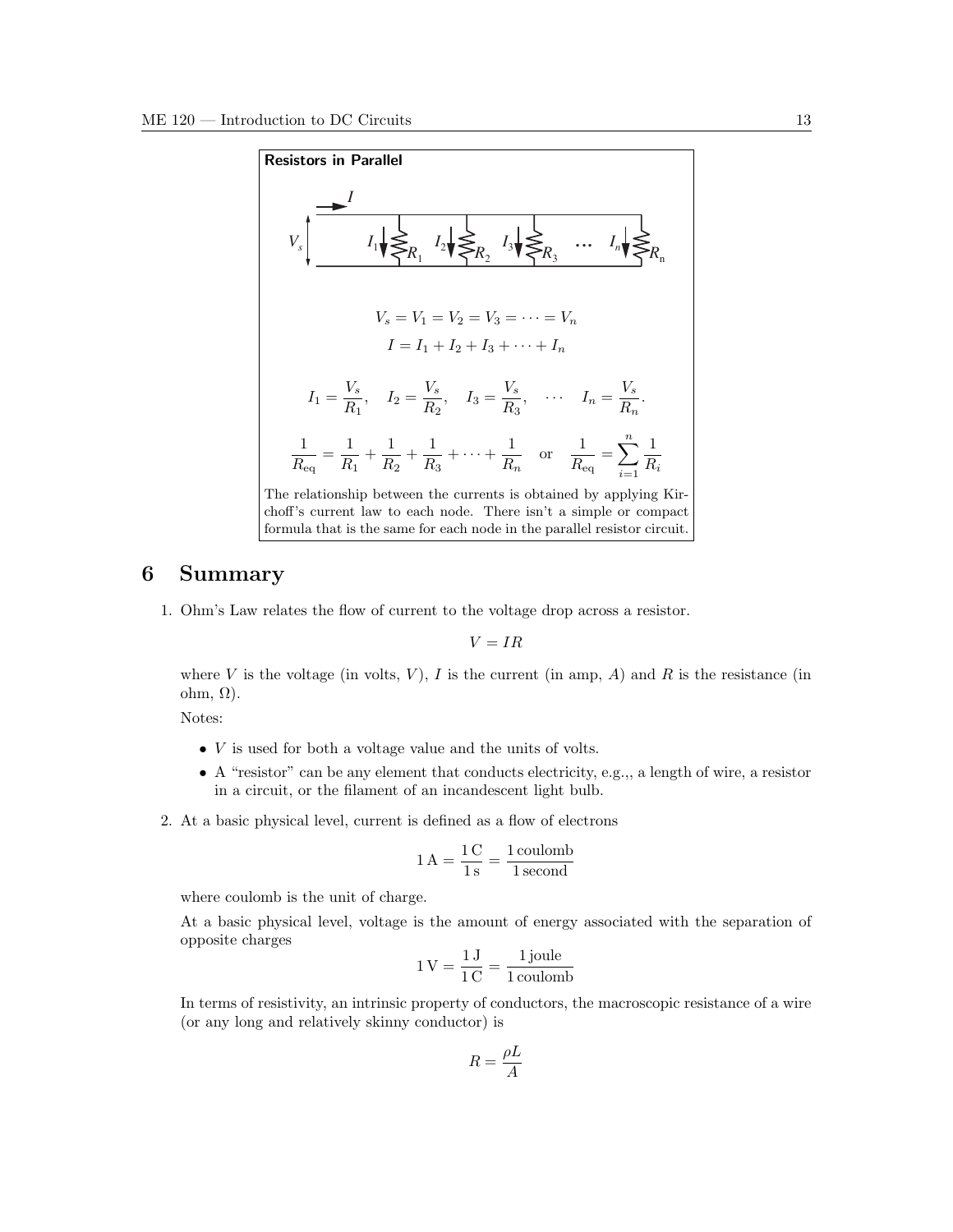

# 6 Summary

1. Ohm's Law relates the flow of current to the voltage drop across a resistor.

 $V = IR$ 

where V is the voltage (in volts, V), I is the current (in amp, A) and R is the resistance (in ohm, Ω).

Notes:

- $\bullet$  V is used for both a voltage value and the units of volts.
- $\bullet$  A "resistor" can be any element that conducts electricity, e.g.,, a length of wire, a resistor in a circuit, or the filament of an incandescent light bulb.
- 2. At a basic physical level, current is defined as a flow of electrons

$$
1\,\mathrm{A} = \frac{1\,\mathrm{C}}{1\,\mathrm{s}} = \frac{1\,\mathrm{coulomb}}{1\,\mathrm{second}}
$$

where coulomb is the unit of charge.

At a basic physical level, voltage is the amount of energy associated with the separation of opposite charges

$$
1\,\mathrm{V} = \frac{1\,\mathrm{J}}{1\,\mathrm{C}} = \frac{1\,\mathrm{joule}}{1\,\mathrm{coulomb}}
$$

In terms of resistivity, an intrinsic property of conductors, the macroscopic resistance of a wire (or any long and relatively skinny conductor) is

$$
R = \frac{\rho L}{A}
$$